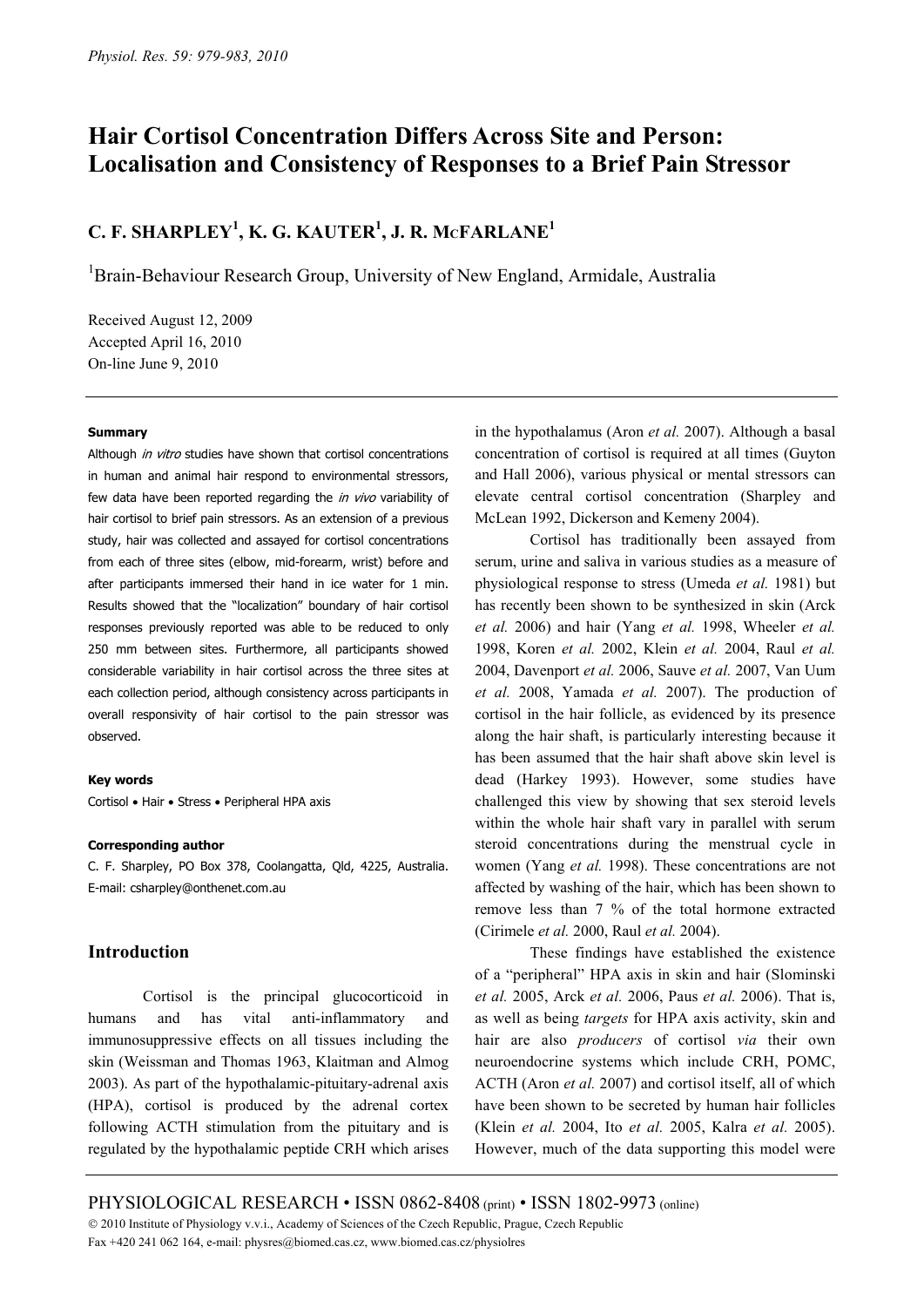# **Hair Cortisol Concentration Differs Across Site and Person: Localisation and Consistency of Responses to a Brief Pain Stressor**

## **C. F. SHARPLEY1 , K. G. KAUTER1 , J. R. MCFARLANE1**

<sup>1</sup>Brain-Behaviour Research Group, University of New England, Armidale, Australia

Received August 12, 2009 Accepted April 16, 2010 On-line June 9, 2010

#### **Summary**

Although in vitro studies have shown that cortisol concentrations in human and animal hair respond to environmental stressors, few data have been reported regarding the in vivo variability of hair cortisol to brief pain stressors. As an extension of a previous study, hair was collected and assayed for cortisol concentrations from each of three sites (elbow, mid-forearm, wrist) before and after participants immersed their hand in ice water for 1 min. Results showed that the "localization" boundary of hair cortisol responses previously reported was able to be reduced to only 250 mm between sites. Furthermore, all participants showed considerable variability in hair cortisol across the three sites at each collection period, although consistency across participants in overall responsivity of hair cortisol to the pain stressor was observed.

#### **Key words**

Cortisol • Hair • Stress • Peripheral HPA axis

#### **Corresponding author**

C. F. Sharpley, PO Box 378, Coolangatta, Qld, 4225, Australia. E-mail: csharpley@onthenet.com.au

## **Intro[duction](mailto:csharpley@onthenet.com.au)**

Cortisol is the principal glucocorticoid in humans and has vital anti-inflammatory and immunosuppressive effects on all tissues including the skin (Weissman and Thomas 1963, Klaitman and Almog 2003). As part of the hypothalamic-pituitary-adrenal axis (HPA), cortisol is produced by the adrenal cortex following ACTH stimulation from the pituitary and is regulated by the hypothalamic peptide CRH which arises

in the hypothalamus (Aron *et al.* 2007). Although a basal concentration of cortisol is required at all times (Guyton and Hall 2006), various physical or mental stressors can elevate central cortisol concentration (Sharpley and McLean 1992, Dickerson and Kemeny 2004).

Cortisol has traditionally been assayed from serum, urine and saliva in various studies as a measure of physiological response to stress (Umeda *et al.* 1981) but has recently been shown to be synthesized in skin (Arck *et al.* 2006) and hair (Yang *et al.* 1998, Wheeler *et al.*  1998, Koren *et al.* 2002, Klein *et al.* 2004, Raul *et al.*  2004, Davenport *et al.* 2006, Sauve *et al.* 2007, Van Uum *et al.* 2008, Yamada *et al.* 2007). The production of cortisol in the hair follicle, as evidenced by its presence along the hair shaft, is particularly interesting because it has been assumed that the hair shaft above skin level is dead (Harkey 1993). However, some studies have challenged this view by showing that sex steroid levels within the whole hair shaft vary in parallel with serum steroid concentrations during the menstrual cycle in women (Yang *et al.* 1998). These concentrations are not affected by washing of the hair, which has been shown to remove less than 7 % of the total hormone extracted (Cirimele *et al.* 2000, Raul *et al.* 2004).

These findings have established the existence of a "peripheral" HPA axis in skin and hair (Slominski *et al.* 2005, Arck *et al.* 2006, Paus *et al.* 2006). That is, as well as being *targets* for HPA axis activity, skin and hair are also *producers* of cortisol *via* their own neuroendocrine systems which include CRH, POMC, ACTH (Aron *et al.* 2007) and cortisol itself, all of which have been shown to be secreted by human hair follicles (Klein *et al.* 2004, Ito *et al.* 2005, Kalra *et al.* 2005). However, much of the data supporting this model were

PHYSIOLOGICAL RESEARCH • ISSN 0862-8408 (print) • ISSN 1802-9973 (online) © 2010 Institute of Physiology v.v.i., Academy of Sciences of the Czech Republic, Prague, Czech Republic Fax +420 241 062 164, e-mail: physres@biomed.cas.cz, www.biomed.cas.cz/physiolres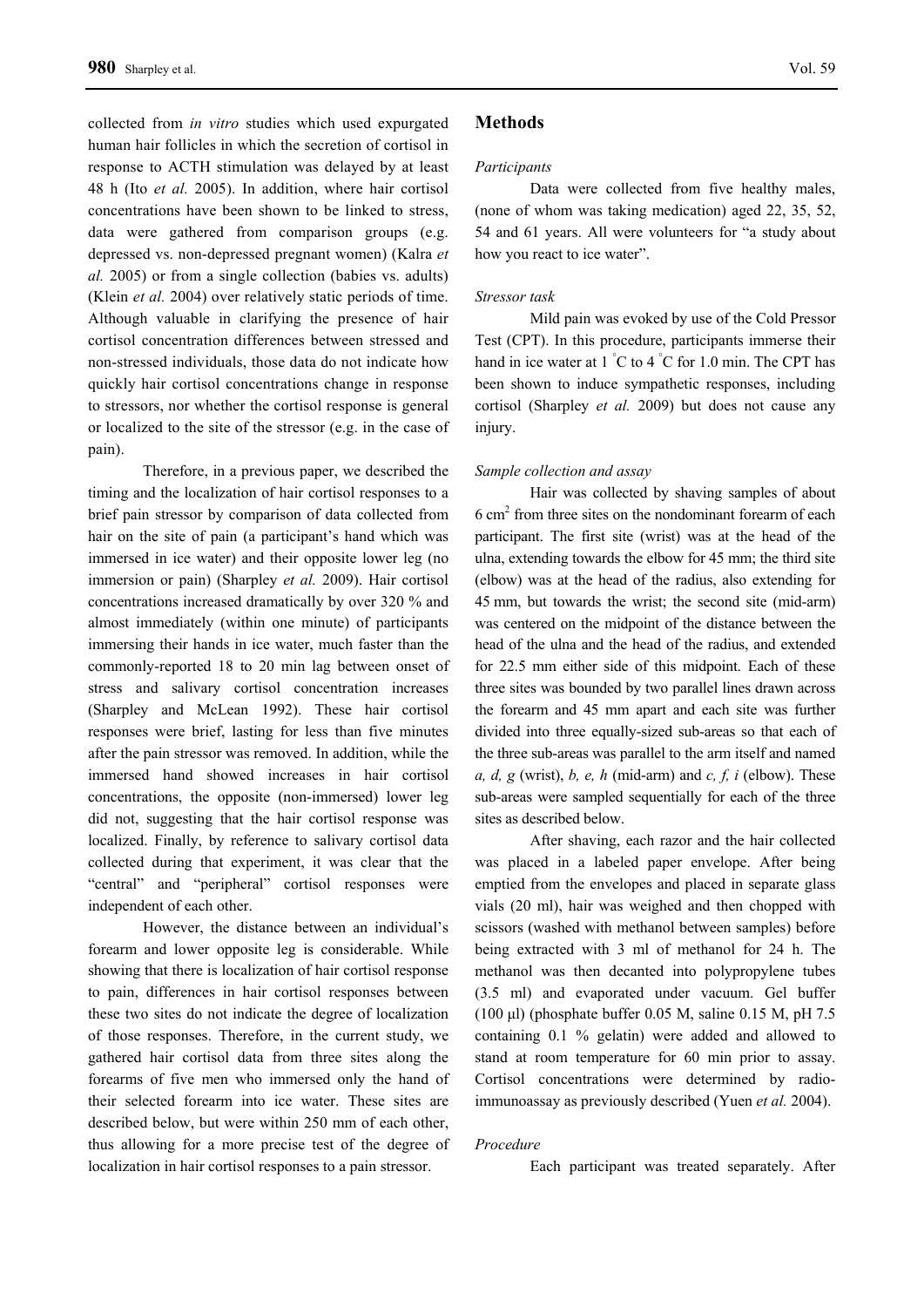collected from *in vitro* studies which used expurgated human hair follicles in which the secretion of cortisol in response to ACTH stimulation was delayed by at least 48 h (Ito *et al.* 2005). In addition, where hair cortisol concentrations have been shown to be linked to stress, data were gathered from comparison groups (e.g. depressed vs. non-depressed pregnant women) (Kalra *et al.* 2005) or from a single collection (babies vs. adults) (Klein *et al.* 2004) over relatively static periods of time. Although valuable in clarifying the presence of hair cortisol concentration differences between stressed and non-stressed individuals, those data do not indicate how quickly hair cortisol concentrations change in response to stressors, nor whether the cortisol response is general or localized to the site of the stressor (e.g. in the case of pain).

Therefore, in a previous paper, we described the timing and the localization of hair cortisol responses to a brief pain stressor by comparison of data collected from hair on the site of pain (a participant's hand which was immersed in ice water) and their opposite lower leg (no immersion or pain) (Sharpley *et al.* 2009). Hair cortisol concentrations increased dramatically by over 320 % and almost immediately (within one minute) of participants immersing their hands in ice water, much faster than the commonly-reported 18 to 20 min lag between onset of stress and salivary cortisol concentration increases (Sharpley and McLean 1992). These hair cortisol responses were brief, lasting for less than five minutes after the pain stressor was removed. In addition, while the immersed hand showed increases in hair cortisol concentrations, the opposite (non-immersed) lower leg did not, suggesting that the hair cortisol response was localized. Finally, by reference to salivary cortisol data collected during that experiment, it was clear that the "central" and "peripheral" cortisol responses were independent of each other.

However, the distance between an individual's forearm and lower opposite leg is considerable. While showing that there is localization of hair cortisol response to pain, differences in hair cortisol responses between these two sites do not indicate the degree of localization of those responses. Therefore, in the current study, we gathered hair cortisol data from three sites along the forearms of five men who immersed only the hand of their selected forearm into ice water. These sites are described below, but were within 250 mm of each other, thus allowing for a more precise test of the degree of localization in hair cortisol responses to a pain stressor.

## **Methods**

#### *Participants*

Data were collected from five healthy males, (none of whom was taking medication) aged 22, 35, 52, 54 and 61 years. All were volunteers for "a study about how you react to ice water".

## *Stressor task*

Mild pain was evoked by use of the Cold Pressor Test (CPT). In this procedure, participants immerse their hand in ice water at 1 °C to 4 °C for 1.0 min. The CPT has been shown to induce sympathetic responses, including cortisol (Sharpley *et al.* 2009) but does not cause any injury.

#### *Sample collection and assay*

Hair was collected by shaving samples of about 6 cm2 from three sites on the nondominant forearm of each participant. The first site (wrist) was at the head of the ulna, extending towards the elbow for 45 mm; the third site (elbow) was at the head of the radius, also extending for 45 mm, but towards the wrist; the second site (mid-arm) was centered on the midpoint of the distance between the head of the ulna and the head of the radius, and extended for 22.5 mm either side of this midpoint. Each of these three sites was bounded by two parallel lines drawn across the forearm and 45 mm apart and each site was further divided into three equally-sized sub-areas so that each of the three sub-areas was parallel to the arm itself and named *a, d, g* (wrist), *b, e, h* (mid-arm) and *c, f, i* (elbow). These sub-areas were sampled sequentially for each of the three sites as described below.

After shaving, each razor and the hair collected was placed in a labeled paper envelope. After being emptied from the envelopes and placed in separate glass vials (20 ml), hair was weighed and then chopped with scissors (washed with methanol between samples) before being extracted with 3 ml of methanol for 24 h. The methanol was then decanted into polypropylene tubes (3.5 ml) and evaporated under vacuum. Gel buffer (100 μl) (phosphate buffer 0.05 M, saline 0.15 M, pH 7.5 containing 0.1 % gelatin) were added and allowed to stand at room temperature for 60 min prior to assay. Cortisol concentrations were determined by radioimmunoassay as previously described (Yuen *et al.* 2004).

#### *Procedure*

Each participant was treated separately. After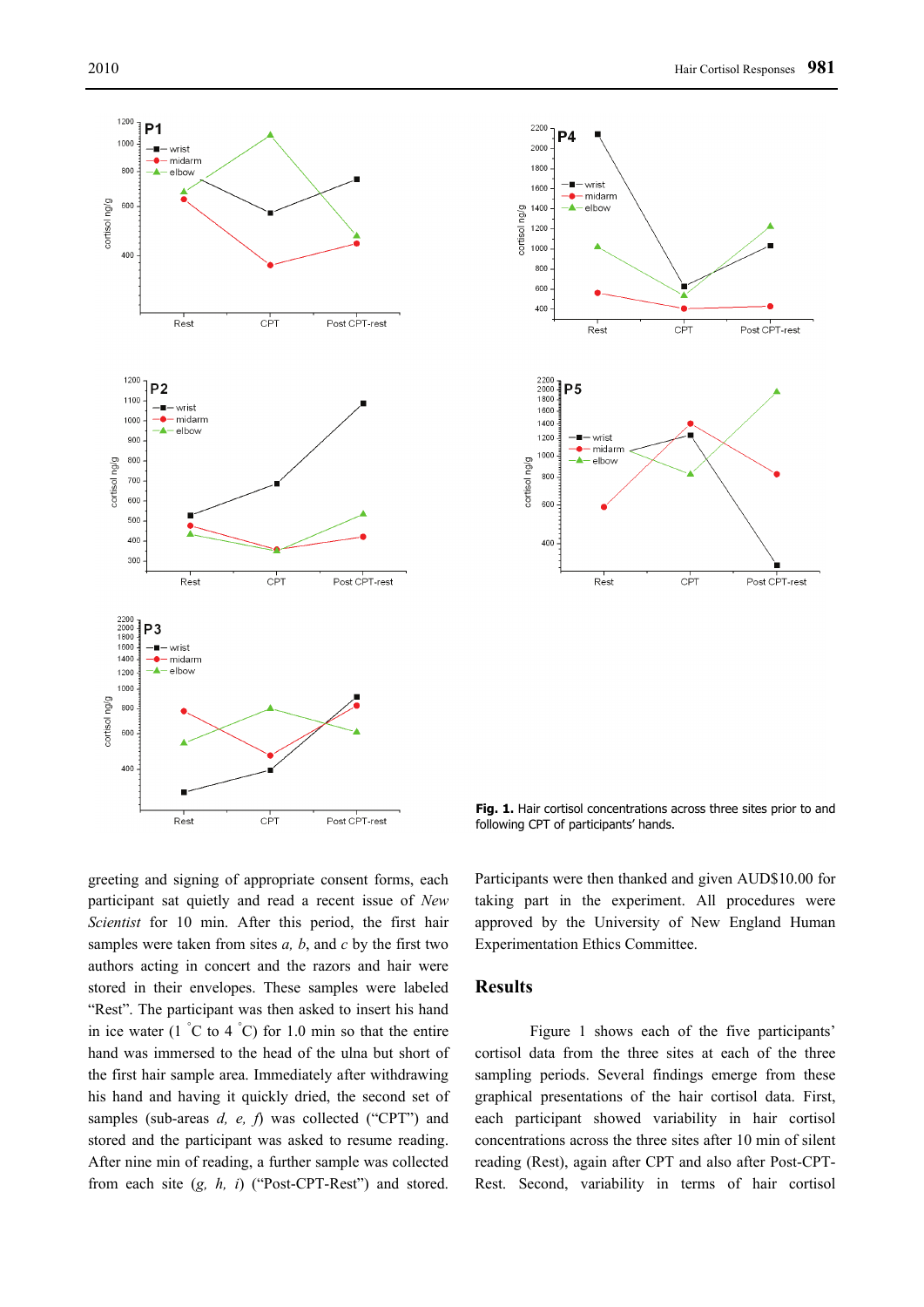



**Fig. 1.** Hair cortisol concentrations across three sites prior to and following CPT of participants' hands.

greeting and signing of appropriate consent forms, each participant sat quietly and read a recent issue of *New Scientist* for 10 min. After this period, the first hair samples were taken from sites *a, b*, and *c* by the first two authors acting in concert and the razors and hair were stored in their envelopes. These samples were labeled "Rest". The participant was then asked to insert his hand in ice water  $(1 \degree C$  to  $4 \degree C)$  for 1.0 min so that the entire hand was immersed to the head of the ulna but short of the first hair sample area. Immediately after withdrawing his hand and having it quickly dried, the second set of samples (sub-areas *d, e, f*) was collected ("CPT") and stored and the participant was asked to resume reading. After nine min of reading, a further sample was collected from each site (*g, h, i*) ("Post-CPT-Rest") and stored.

Participants were then thanked and given AUD\$10.00 for taking part in the experiment. All procedures were approved by the University of New England Human Experimentation Ethics Committee.

## **Results**

Figure 1 shows each of the five participants' cortisol data from the three sites at each of the three sampling periods. Several findings emerge from these graphical presentations of the hair cortisol data. First, each participant showed variability in hair cortisol concentrations across the three sites after 10 min of silent reading (Rest), again after CPT and also after Post-CPT-Rest. Second, variability in terms of hair cortisol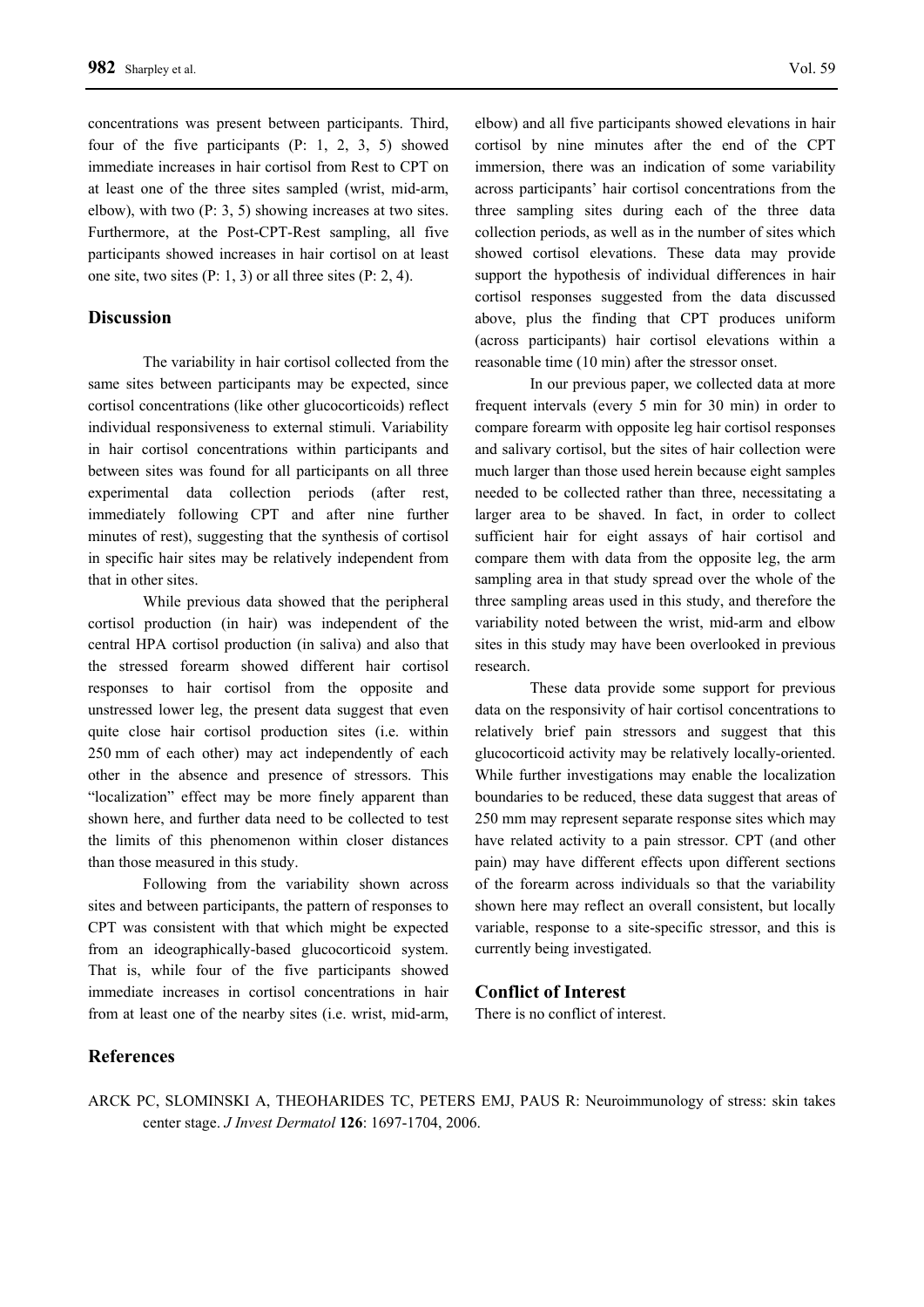concentrations was present between participants. Third, four of the five participants (P: 1, 2, 3, 5) showed immediate increases in hair cortisol from Rest to CPT on at least one of the three sites sampled (wrist, mid-arm, elbow), with two (P: 3, 5) showing increases at two sites. Furthermore, at the Post-CPT-Rest sampling, all five participants showed increases in hair cortisol on at least one site, two sites  $(P: 1, 3)$  or all three sites  $(P: 2, 4)$ .

## **Discussion**

The variability in hair cortisol collected from the same sites between participants may be expected, since cortisol concentrations (like other glucocorticoids) reflect individual responsiveness to external stimuli. Variability in hair cortisol concentrations within participants and between sites was found for all participants on all three experimental data collection periods (after rest, immediately following CPT and after nine further minutes of rest), suggesting that the synthesis of cortisol in specific hair sites may be relatively independent from that in other sites.

While previous data showed that the peripheral cortisol production (in hair) was independent of the central HPA cortisol production (in saliva) and also that the stressed forearm showed different hair cortisol responses to hair cortisol from the opposite and unstressed lower leg, the present data suggest that even quite close hair cortisol production sites (i.e. within 250 mm of each other) may act independently of each other in the absence and presence of stressors. This "localization" effect may be more finely apparent than shown here, and further data need to be collected to test the limits of this phenomenon within closer distances than those measured in this study.

Following from the variability shown across sites and between participants, the pattern of responses to CPT was consistent with that which might be expected from an ideographically-based glucocorticoid system. That is, while four of the five participants showed immediate increases in cortisol concentrations in hair from at least one of the nearby sites (i.e. wrist, mid-arm, elbow) and all five participants showed elevations in hair cortisol by nine minutes after the end of the CPT immersion, there was an indication of some variability across participants' hair cortisol concentrations from the three sampling sites during each of the three data collection periods, as well as in the number of sites which showed cortisol elevations. These data may provide support the hypothesis of individual differences in hair cortisol responses suggested from the data discussed above, plus the finding that CPT produces uniform (across participants) hair cortisol elevations within a reasonable time (10 min) after the stressor onset.

In our previous paper, we collected data at more frequent intervals (every 5 min for 30 min) in order to compare forearm with opposite leg hair cortisol responses and salivary cortisol, but the sites of hair collection were much larger than those used herein because eight samples needed to be collected rather than three, necessitating a larger area to be shaved. In fact, in order to collect sufficient hair for eight assays of hair cortisol and compare them with data from the opposite leg, the arm sampling area in that study spread over the whole of the three sampling areas used in this study, and therefore the variability noted between the wrist, mid-arm and elbow sites in this study may have been overlooked in previous research.

These data provide some support for previous data on the responsivity of hair cortisol concentrations to relatively brief pain stressors and suggest that this glucocorticoid activity may be relatively locally-oriented. While further investigations may enable the localization boundaries to be reduced, these data suggest that areas of 250 mm may represent separate response sites which may have related activity to a pain stressor. CPT (and other pain) may have different effects upon different sections of the forearm across individuals so that the variability shown here may reflect an overall consistent, but locally variable, response to a site-specific stressor, and this is currently being investigated.

## **Conflict of Interest**

There is no conflict of interest.

## **References**

ARCK PC, SLOMINSKI A, THEOHARIDES TC, PETERS EMJ, PAUS R: Neuroimmunology of stress: skin takes center stage. *J Invest Dermatol* **126**: 1697-1704, 2006.